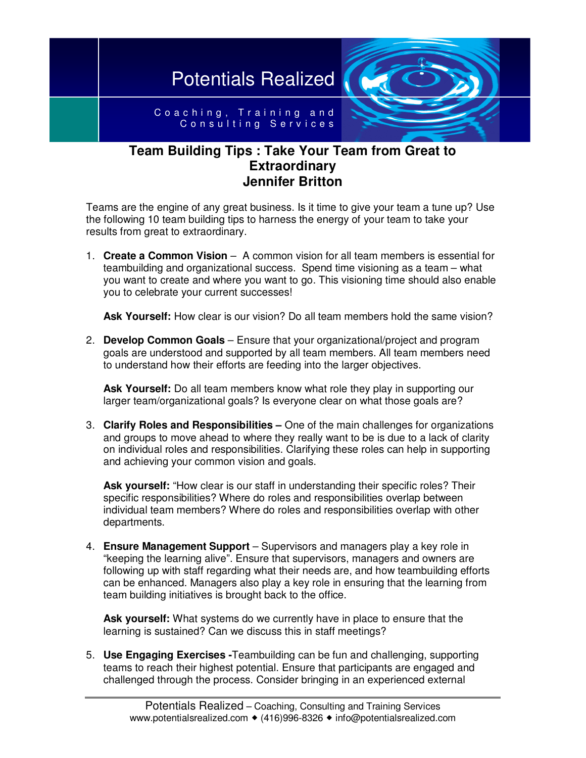

## **Team Building Tips : Take Your Team from Great to Extraordinary Jennifer Britton**

Teams are the engine of any great business. Is it time to give your team a tune up? Use the following 10 team building tips to harness the energy of your team to take your results from great to extraordinary.

1. **Create a Common Vision** – A common vision for all team members is essential for teambuilding and organizational success. Spend time visioning as a team – what you want to create and where you want to go. This visioning time should also enable you to celebrate your current successes!

**Ask Yourself:** How clear is our vision? Do all team members hold the same vision?

2. **Develop Common Goals** – Ensure that your organizational/project and program goals are understood and supported by all team members. All team members need to understand how their efforts are feeding into the larger objectives.

**Ask Yourself:** Do all team members know what role they play in supporting our larger team/organizational goals? Is everyone clear on what those goals are?

3. **Clarify Roles and Responsibilities –** One of the main challenges for organizations and groups to move ahead to where they really want to be is due to a lack of clarity on individual roles and responsibilities. Clarifying these roles can help in supporting and achieving your common vision and goals.

**Ask yourself:** "How clear is our staff in understanding their specific roles? Their specific responsibilities? Where do roles and responsibilities overlap between individual team members? Where do roles and responsibilities overlap with other departments.

4. **Ensure Management Support** – Supervisors and managers play a key role in "keeping the learning alive". Ensure that supervisors, managers and owners are following up with staff regarding what their needs are, and how teambuilding efforts can be enhanced. Managers also play a key role in ensuring that the learning from team building initiatives is brought back to the office.

**Ask yourself:** What systems do we currently have in place to ensure that the learning is sustained? Can we discuss this in staff meetings?

5. **Use Engaging Exercises -**Teambuilding can be fun and challenging, supporting teams to reach their highest potential. Ensure that participants are engaged and challenged through the process. Consider bringing in an experienced external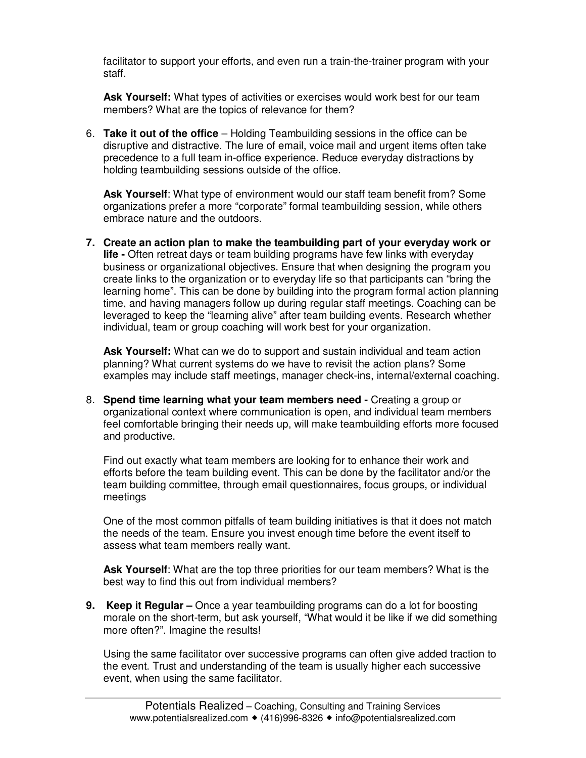facilitator to support your efforts, and even run a train-the-trainer program with your staff.

**Ask Yourself:** What types of activities or exercises would work best for our team members? What are the topics of relevance for them?

6. **Take it out of the office** – Holding Teambuilding sessions in the office can be disruptive and distractive. The lure of email, voice mail and urgent items often take precedence to a full team in-office experience. Reduce everyday distractions by holding teambuilding sessions outside of the office.

**Ask Yourself**: What type of environment would our staff team benefit from? Some organizations prefer a more "corporate" formal teambuilding session, while others embrace nature and the outdoors.

**7. Create an action plan to make the teambuilding part of your everyday work or life -** Often retreat days or team building programs have few links with everyday business or organizational objectives. Ensure that when designing the program you create links to the organization or to everyday life so that participants can "bring the learning home". This can be done by building into the program formal action planning time, and having managers follow up during regular staff meetings. Coaching can be leveraged to keep the "learning alive" after team building events. Research whether individual, team or group coaching will work best for your organization.

**Ask Yourself:** What can we do to support and sustain individual and team action planning? What current systems do we have to revisit the action plans? Some examples may include staff meetings, manager check-ins, internal/external coaching.

8. **Spend time learning what your team members need -** Creating a group or organizational context where communication is open, and individual team members feel comfortable bringing their needs up, will make teambuilding efforts more focused and productive.

Find out exactly what team members are looking for to enhance their work and efforts before the team building event. This can be done by the facilitator and/or the team building committee, through email questionnaires, focus groups, or individual meetings

One of the most common pitfalls of team building initiatives is that it does not match the needs of the team. Ensure you invest enough time before the event itself to assess what team members really want.

**Ask Yourself**: What are the top three priorities for our team members? What is the best way to find this out from individual members?

**9. Keep it Regular –** Once a year teambuilding programs can do a lot for boosting morale on the short-term, but ask yourself, "What would it be like if we did something more often?". Imagine the results!

Using the same facilitator over successive programs can often give added traction to the event. Trust and understanding of the team is usually higher each successive event, when using the same facilitator.